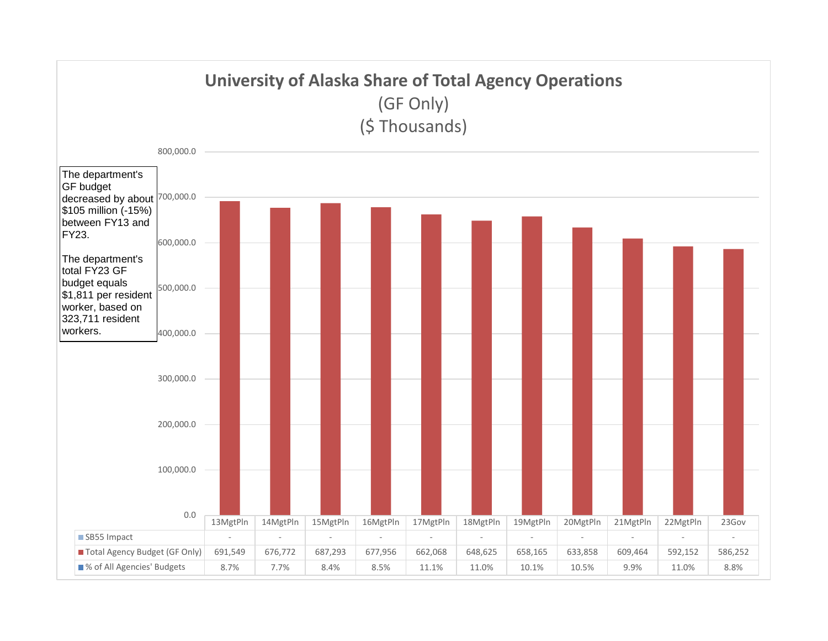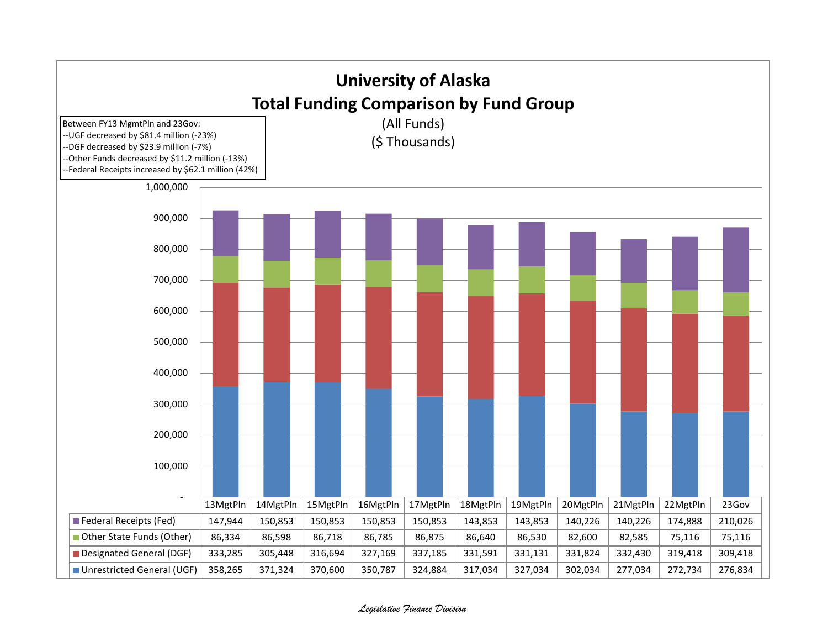